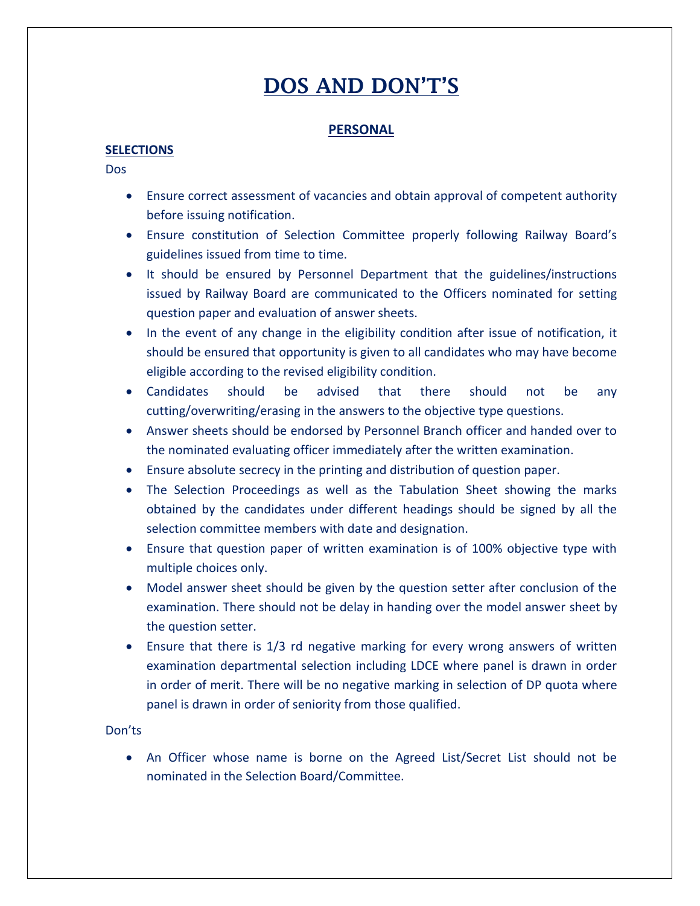# DOS AND DON'T'S

# **PERSONAL**

# **SELECTIONS**

Dos

- Ensure correct assessment of vacancies and obtain approval of competent authority before issuing notification.
- Ensure constitution of Selection Committee properly following Railway Board's guidelines issued from time to time.
- It should be ensured by Personnel Department that the guidelines/instructions issued by Railway Board are communicated to the Officers nominated for setting question paper and evaluation of answer sheets.
- In the event of any change in the eligibility condition after issue of notification, it should be ensured that opportunity is given to all candidates who may have become eligible according to the revised eligibility condition.
- Candidates should be advised that there should not be any cutting/overwriting/erasing in the answers to the objective type questions.
- Answer sheets should be endorsed by Personnel Branch officer and handed over to the nominated evaluating officer immediately after the written examination.
- Ensure absolute secrecy in the printing and distribution of question paper.
- The Selection Proceedings as well as the Tabulation Sheet showing the marks obtained by the candidates under different headings should be signed by all the selection committee members with date and designation.
- Ensure that question paper of written examination is of 100% objective type with multiple choices only.
- Model answer sheet should be given by the question setter after conclusion of the examination. There should not be delay in handing over the model answer sheet by the question setter.
- Ensure that there is 1/3 rd negative marking for every wrong answers of written examination departmental selection including LDCE where panel is drawn in order in order of merit. There will be no negative marking in selection of DP quota where panel is drawn in order of seniority from those qualified.

# Don'ts

• An Officer whose name is borne on the Agreed List/Secret List should not be nominated in the Selection Board/Committee.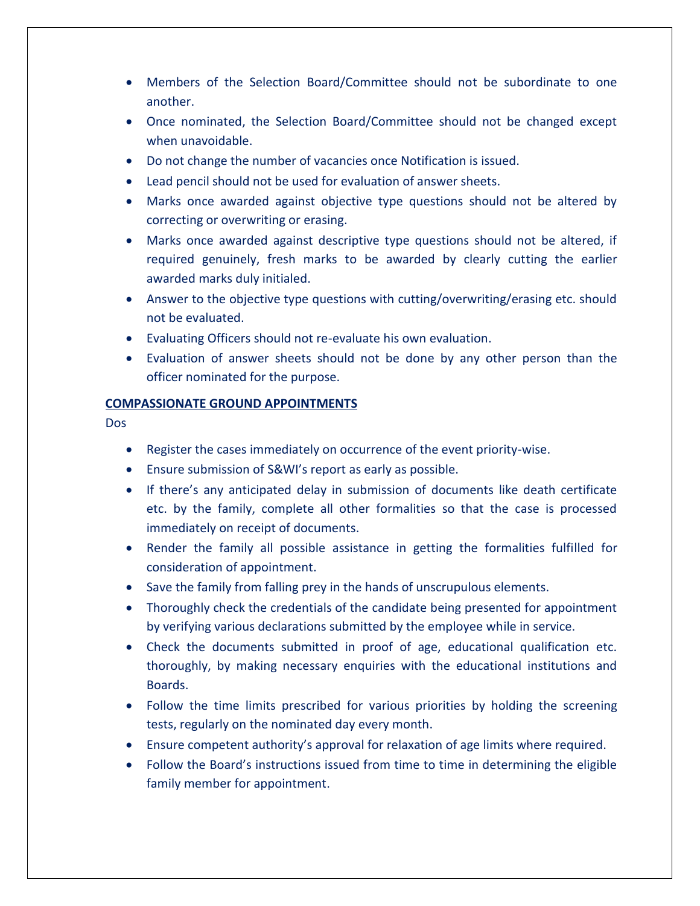- Members of the Selection Board/Committee should not be subordinate to one another.
- Once nominated, the Selection Board/Committee should not be changed except when unavoidable.
- Do not change the number of vacancies once Notification is issued.
- Lead pencil should not be used for evaluation of answer sheets.
- Marks once awarded against objective type questions should not be altered by correcting or overwriting or erasing.
- Marks once awarded against descriptive type questions should not be altered, if required genuinely, fresh marks to be awarded by clearly cutting the earlier awarded marks duly initialed.
- Answer to the objective type questions with cutting/overwriting/erasing etc. should not be evaluated.
- Evaluating Officers should not re-evaluate his own evaluation.
- Evaluation of answer sheets should not be done by any other person than the officer nominated for the purpose.

#### **COMPASSIONATE GROUND APPOINTMENTS**

- Register the cases immediately on occurrence of the event priority-wise.
- Ensure submission of S&WI's report as early as possible.
- If there's any anticipated delay in submission of documents like death certificate etc. by the family, complete all other formalities so that the case is processed immediately on receipt of documents.
- Render the family all possible assistance in getting the formalities fulfilled for consideration of appointment.
- Save the family from falling prey in the hands of unscrupulous elements.
- Thoroughly check the credentials of the candidate being presented for appointment by verifying various declarations submitted by the employee while in service.
- Check the documents submitted in proof of age, educational qualification etc. thoroughly, by making necessary enquiries with the educational institutions and Boards.
- Follow the time limits prescribed for various priorities by holding the screening tests, regularly on the nominated day every month.
- Ensure competent authority's approval for relaxation of age limits where required.
- Follow the Board's instructions issued from time to time in determining the eligible family member for appointment.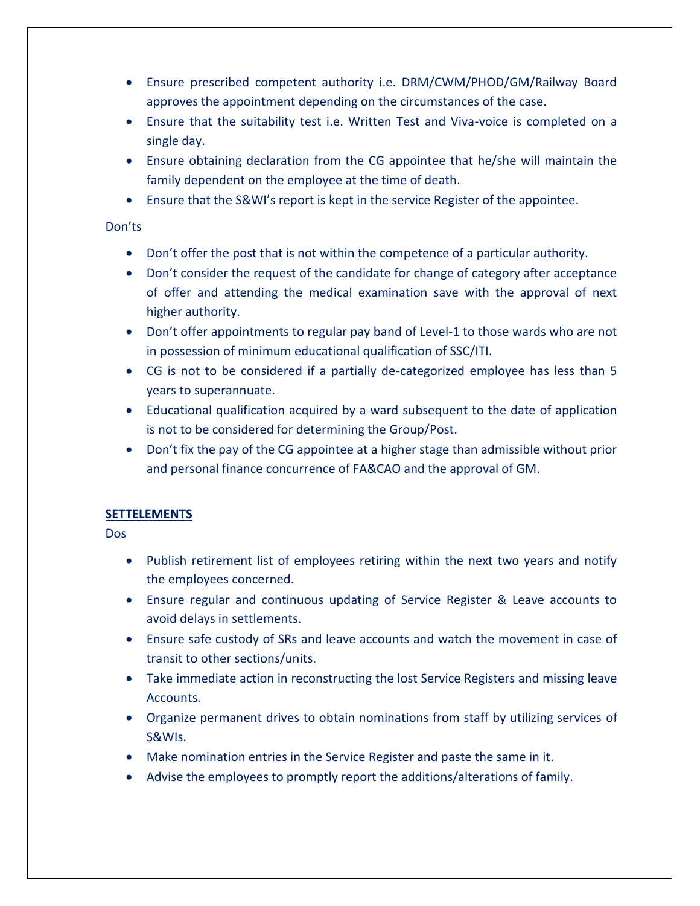- Ensure prescribed competent authority i.e. DRM/CWM/PHOD/GM/Railway Board approves the appointment depending on the circumstances of the case.
- Ensure that the suitability test i.e. Written Test and Viva-voice is completed on a single day.
- Ensure obtaining declaration from the CG appointee that he/she will maintain the family dependent on the employee at the time of death.
- Ensure that the S&WI's report is kept in the service Register of the appointee.

- Don't offer the post that is not within the competence of a particular authority.
- Don't consider the request of the candidate for change of category after acceptance of offer and attending the medical examination save with the approval of next higher authority.
- Don't offer appointments to regular pay band of Level-1 to those wards who are not in possession of minimum educational qualification of SSC/ITI.
- CG is not to be considered if a partially de-categorized employee has less than 5 years to superannuate.
- Educational qualification acquired by a ward subsequent to the date of application is not to be considered for determining the Group/Post.
- Don't fix the pay of the CG appointee at a higher stage than admissible without prior and personal finance concurrence of FA&CAO and the approval of GM.

# **SETTELEMENTS**

- Publish retirement list of employees retiring within the next two years and notify the employees concerned.
- Ensure regular and continuous updating of Service Register & Leave accounts to avoid delays in settlements.
- Ensure safe custody of SRs and leave accounts and watch the movement in case of transit to other sections/units.
- Take immediate action in reconstructing the lost Service Registers and missing leave Accounts.
- Organize permanent drives to obtain nominations from staff by utilizing services of S&WIs.
- Make nomination entries in the Service Register and paste the same in it.
- Advise the employees to promptly report the additions/alterations of family.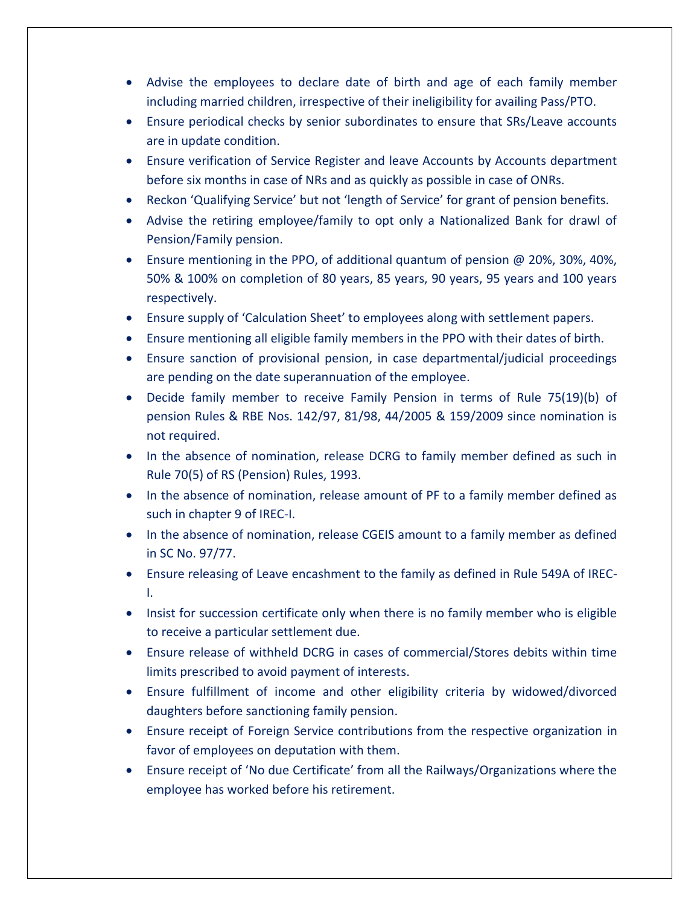- Advise the employees to declare date of birth and age of each family member including married children, irrespective of their ineligibility for availing Pass/PTO.
- Ensure periodical checks by senior subordinates to ensure that SRs/Leave accounts are in update condition.
- Ensure verification of Service Register and leave Accounts by Accounts department before six months in case of NRs and as quickly as possible in case of ONRs.
- Reckon 'Qualifying Service' but not 'length of Service' for grant of pension benefits.
- Advise the retiring employee/family to opt only a Nationalized Bank for drawl of Pension/Family pension.
- Ensure mentioning in the PPO, of additional quantum of pension @ 20%, 30%, 40%, 50% & 100% on completion of 80 years, 85 years, 90 years, 95 years and 100 years respectively.
- Ensure supply of 'Calculation Sheet' to employees along with settlement papers.
- Ensure mentioning all eligible family members in the PPO with their dates of birth.
- Ensure sanction of provisional pension, in case departmental/judicial proceedings are pending on the date superannuation of the employee.
- Decide family member to receive Family Pension in terms of Rule 75(19)(b) of pension Rules & RBE Nos. 142/97, 81/98, 44/2005 & 159/2009 since nomination is not required.
- In the absence of nomination, release DCRG to family member defined as such in Rule 70(5) of RS (Pension) Rules, 1993.
- In the absence of nomination, release amount of PF to a family member defined as such in chapter 9 of IREC-I.
- In the absence of nomination, release CGEIS amount to a family member as defined in SC No. 97/77.
- Ensure releasing of Leave encashment to the family as defined in Rule 549A of IREC-I.
- Insist for succession certificate only when there is no family member who is eligible to receive a particular settlement due.
- Ensure release of withheld DCRG in cases of commercial/Stores debits within time limits prescribed to avoid payment of interests.
- Ensure fulfillment of income and other eligibility criteria by widowed/divorced daughters before sanctioning family pension.
- Ensure receipt of Foreign Service contributions from the respective organization in favor of employees on deputation with them.
- Ensure receipt of 'No due Certificate' from all the Railways/Organizations where the employee has worked before his retirement.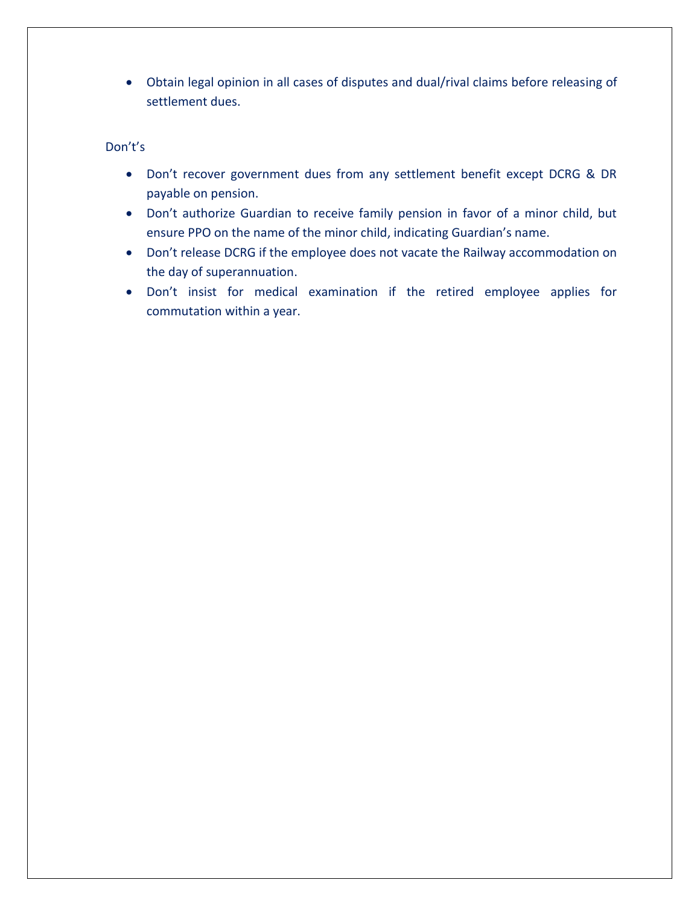• Obtain legal opinion in all cases of disputes and dual/rival claims before releasing of settlement dues.

- Don't recover government dues from any settlement benefit except DCRG & DR payable on pension.
- Don't authorize Guardian to receive family pension in favor of a minor child, but ensure PPO on the name of the minor child, indicating Guardian's name.
- Don't release DCRG if the employee does not vacate the Railway accommodation on the day of superannuation.
- Don't insist for medical examination if the retired employee applies for commutation within a year.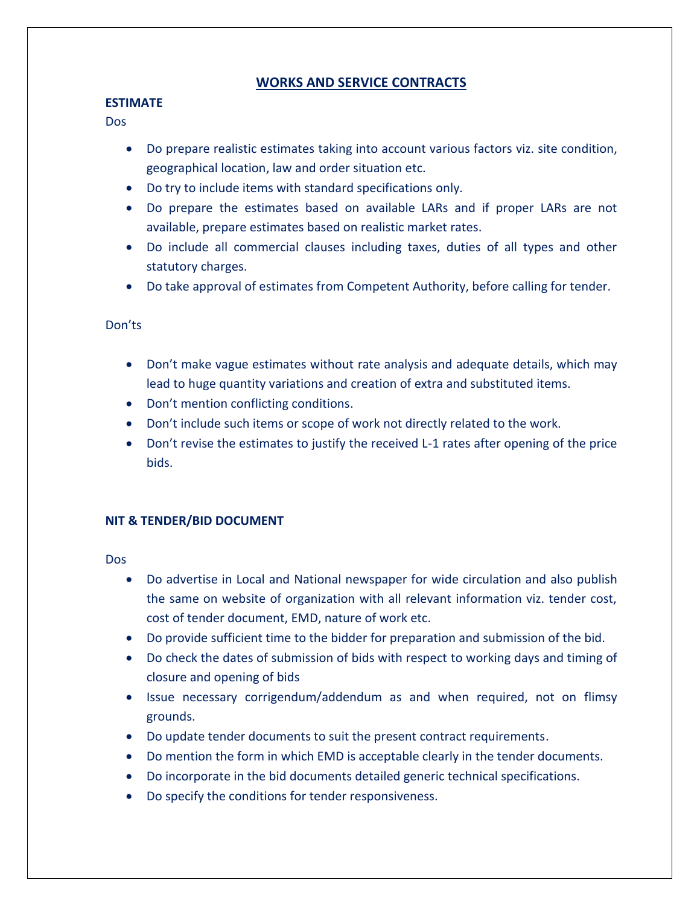# **WORKS AND SERVICE CONTRACTS**

## **ESTIMATE**

Dos

- Do prepare realistic estimates taking into account various factors viz. site condition, geographical location, law and order situation etc.
- Do try to include items with standard specifications only.
- Do prepare the estimates based on available LARs and if proper LARs are not available, prepare estimates based on realistic market rates.
- Do include all commercial clauses including taxes, duties of all types and other statutory charges.
- Do take approval of estimates from Competent Authority, before calling for tender.

## Don'ts

- Don't make vague estimates without rate analysis and adequate details, which may lead to huge quantity variations and creation of extra and substituted items.
- Don't mention conflicting conditions.
- Don't include such items or scope of work not directly related to the work.
- Don't revise the estimates to justify the received L-1 rates after opening of the price bids.

# **NIT & TENDER/BID DOCUMENT**

- Do advertise in Local and National newspaper for wide circulation and also publish the same on website of organization with all relevant information viz. tender cost, cost of tender document, EMD, nature of work etc.
- Do provide sufficient time to the bidder for preparation and submission of the bid.
- Do check the dates of submission of bids with respect to working days and timing of closure and opening of bids
- Issue necessary corrigendum/addendum as and when required, not on flimsy grounds.
- Do update tender documents to suit the present contract requirements.
- Do mention the form in which EMD is acceptable clearly in the tender documents.
- Do incorporate in the bid documents detailed generic technical specifications.
- Do specify the conditions for tender responsiveness.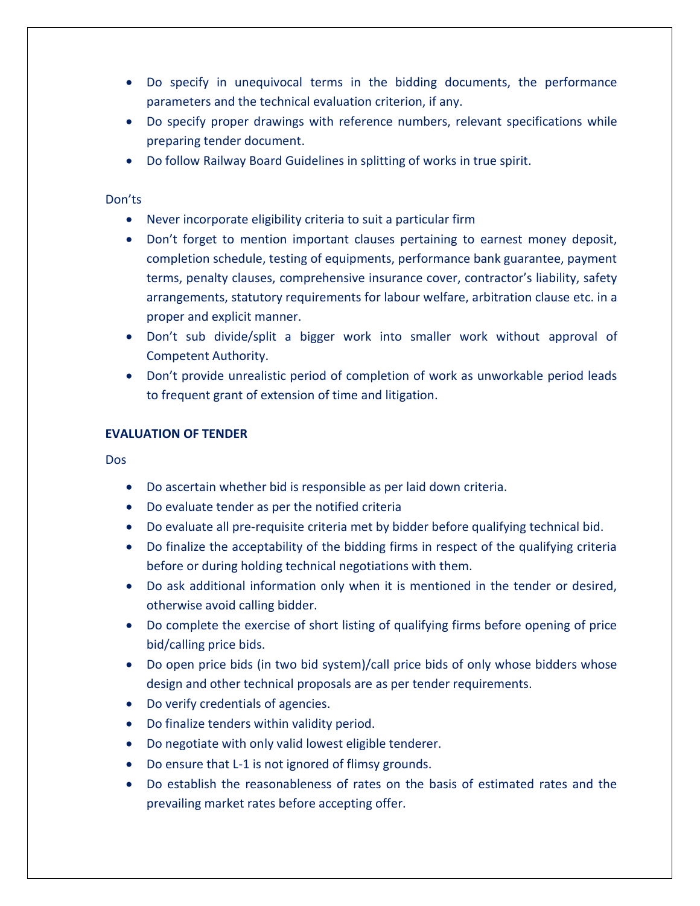- Do specify in unequivocal terms in the bidding documents, the performance parameters and the technical evaluation criterion, if any.
- Do specify proper drawings with reference numbers, relevant specifications while preparing tender document.
- Do follow Railway Board Guidelines in splitting of works in true spirit.

- Never incorporate eligibility criteria to suit a particular firm
- Don't forget to mention important clauses pertaining to earnest money deposit, completion schedule, testing of equipments, performance bank guarantee, payment terms, penalty clauses, comprehensive insurance cover, contractor's liability, safety arrangements, statutory requirements for labour welfare, arbitration clause etc. in a proper and explicit manner.
- Don't sub divide/split a bigger work into smaller work without approval of Competent Authority.
- Don't provide unrealistic period of completion of work as unworkable period leads to frequent grant of extension of time and litigation.

## **EVALUATION OF TENDER**

- Do ascertain whether bid is responsible as per laid down criteria.
- Do evaluate tender as per the notified criteria
- Do evaluate all pre-requisite criteria met by bidder before qualifying technical bid.
- Do finalize the acceptability of the bidding firms in respect of the qualifying criteria before or during holding technical negotiations with them.
- Do ask additional information only when it is mentioned in the tender or desired, otherwise avoid calling bidder.
- Do complete the exercise of short listing of qualifying firms before opening of price bid/calling price bids.
- Do open price bids (in two bid system)/call price bids of only whose bidders whose design and other technical proposals are as per tender requirements.
- Do verify credentials of agencies.
- Do finalize tenders within validity period.
- Do negotiate with only valid lowest eligible tenderer.
- Do ensure that L-1 is not ignored of flimsy grounds.
- Do establish the reasonableness of rates on the basis of estimated rates and the prevailing market rates before accepting offer.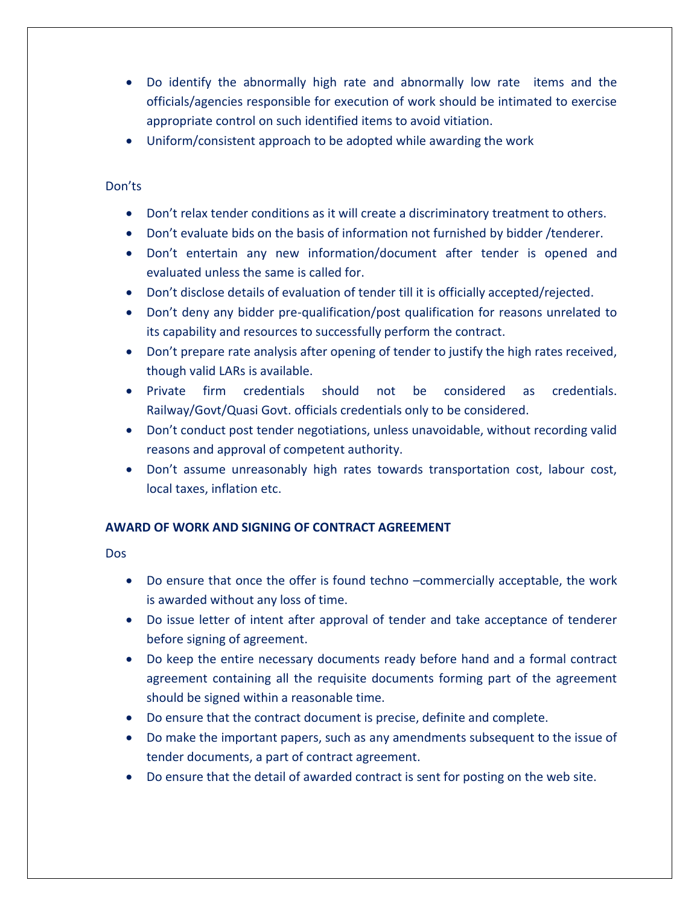- Do identify the abnormally high rate and abnormally low rate items and the officials/agencies responsible for execution of work should be intimated to exercise appropriate control on such identified items to avoid vitiation.
- Uniform/consistent approach to be adopted while awarding the work

- Don't relax tender conditions as it will create a discriminatory treatment to others.
- Don't evaluate bids on the basis of information not furnished by bidder /tenderer.
- Don't entertain any new information/document after tender is opened and evaluated unless the same is called for.
- Don't disclose details of evaluation of tender till it is officially accepted/rejected.
- Don't deny any bidder pre-qualification/post qualification for reasons unrelated to its capability and resources to successfully perform the contract.
- Don't prepare rate analysis after opening of tender to justify the high rates received, though valid LARs is available.
- Private firm credentials should not be considered as credentials. Railway/Govt/Quasi Govt. officials credentials only to be considered.
- Don't conduct post tender negotiations, unless unavoidable, without recording valid reasons and approval of competent authority.
- Don't assume unreasonably high rates towards transportation cost, labour cost, local taxes, inflation etc.

# **AWARD OF WORK AND SIGNING OF CONTRACT AGREEMENT**

- Do ensure that once the offer is found techno –commercially acceptable, the work is awarded without any loss of time.
- Do issue letter of intent after approval of tender and take acceptance of tenderer before signing of agreement.
- Do keep the entire necessary documents ready before hand and a formal contract agreement containing all the requisite documents forming part of the agreement should be signed within a reasonable time.
- Do ensure that the contract document is precise, definite and complete.
- Do make the important papers, such as any amendments subsequent to the issue of tender documents, a part of contract agreement.
- Do ensure that the detail of awarded contract is sent for posting on the web site.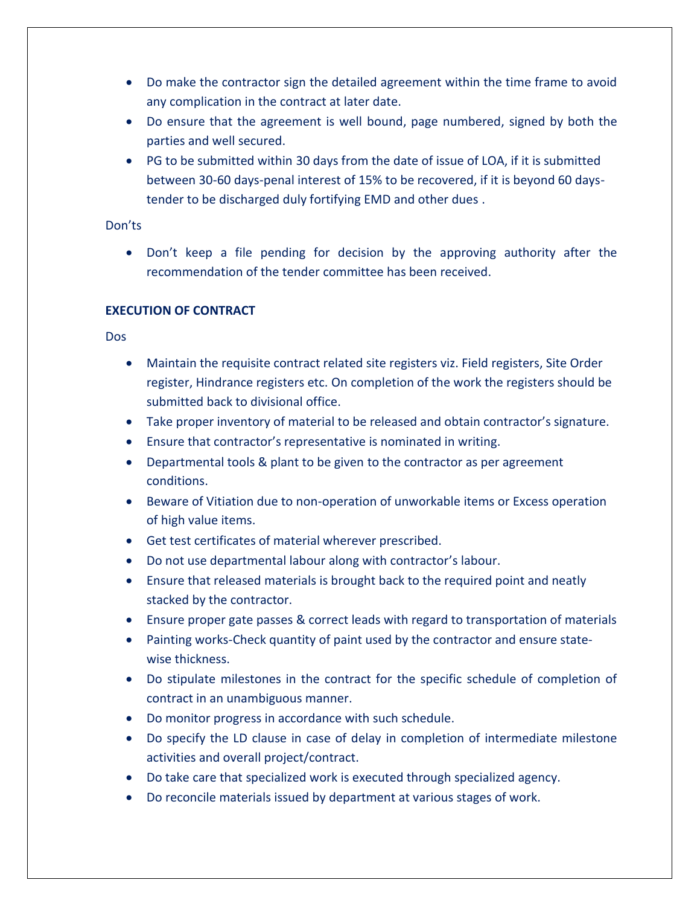- Do make the contractor sign the detailed agreement within the time frame to avoid any complication in the contract at later date.
- Do ensure that the agreement is well bound, page numbered, signed by both the parties and well secured.
- PG to be submitted within 30 days from the date of issue of LOA, if it is submitted between 30-60 days-penal interest of 15% to be recovered, if it is beyond 60 daystender to be discharged duly fortifying EMD and other dues .

• Don't keep a file pending for decision by the approving authority after the recommendation of the tender committee has been received.

# **EXECUTION OF CONTRACT**

- Maintain the requisite contract related site registers viz. Field registers, Site Order register, Hindrance registers etc. On completion of the work the registers should be submitted back to divisional office.
- Take proper inventory of material to be released and obtain contractor's signature.
- Ensure that contractor's representative is nominated in writing.
- Departmental tools & plant to be given to the contractor as per agreement conditions.
- Beware of Vitiation due to non-operation of unworkable items or Excess operation of high value items.
- Get test certificates of material wherever prescribed.
- Do not use departmental labour along with contractor's labour.
- Ensure that released materials is brought back to the required point and neatly stacked by the contractor.
- Ensure proper gate passes & correct leads with regard to transportation of materials
- Painting works-Check quantity of paint used by the contractor and ensure statewise thickness.
- Do stipulate milestones in the contract for the specific schedule of completion of contract in an unambiguous manner.
- Do monitor progress in accordance with such schedule.
- Do specify the LD clause in case of delay in completion of intermediate milestone activities and overall project/contract.
- Do take care that specialized work is executed through specialized agency.
- Do reconcile materials issued by department at various stages of work.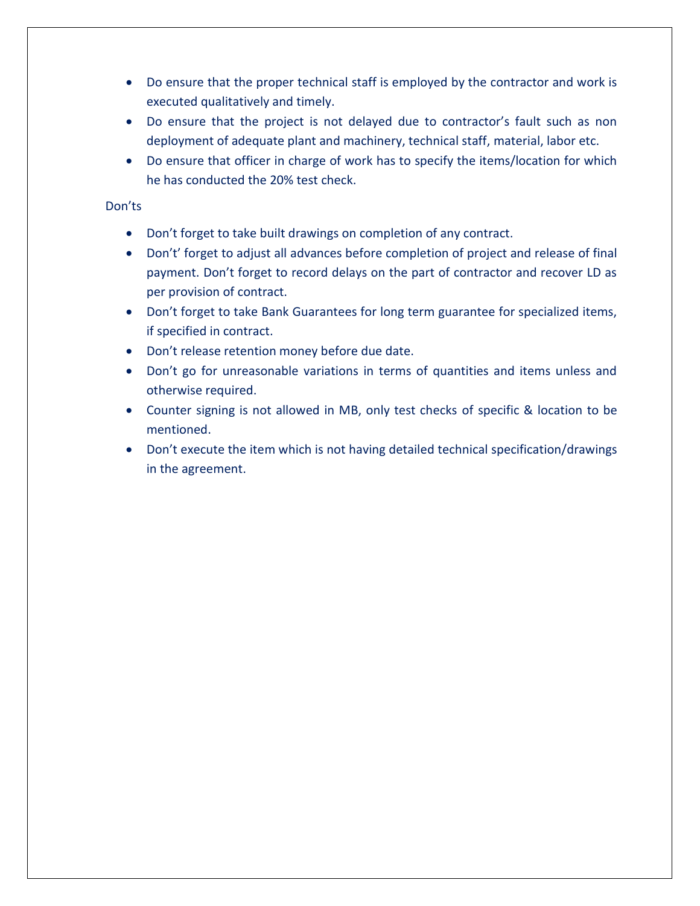- Do ensure that the proper technical staff is employed by the contractor and work is executed qualitatively and timely.
- Do ensure that the project is not delayed due to contractor's fault such as non deployment of adequate plant and machinery, technical staff, material, labor etc.
- Do ensure that officer in charge of work has to specify the items/location for which he has conducted the 20% test check.

- Don't forget to take built drawings on completion of any contract.
- Don't' forget to adjust all advances before completion of project and release of final payment. Don't forget to record delays on the part of contractor and recover LD as per provision of contract.
- Don't forget to take Bank Guarantees for long term guarantee for specialized items, if specified in contract.
- Don't release retention money before due date.
- Don't go for unreasonable variations in terms of quantities and items unless and otherwise required.
- Counter signing is not allowed in MB, only test checks of specific & location to be mentioned.
- Don't execute the item which is not having detailed technical specification/drawings in the agreement.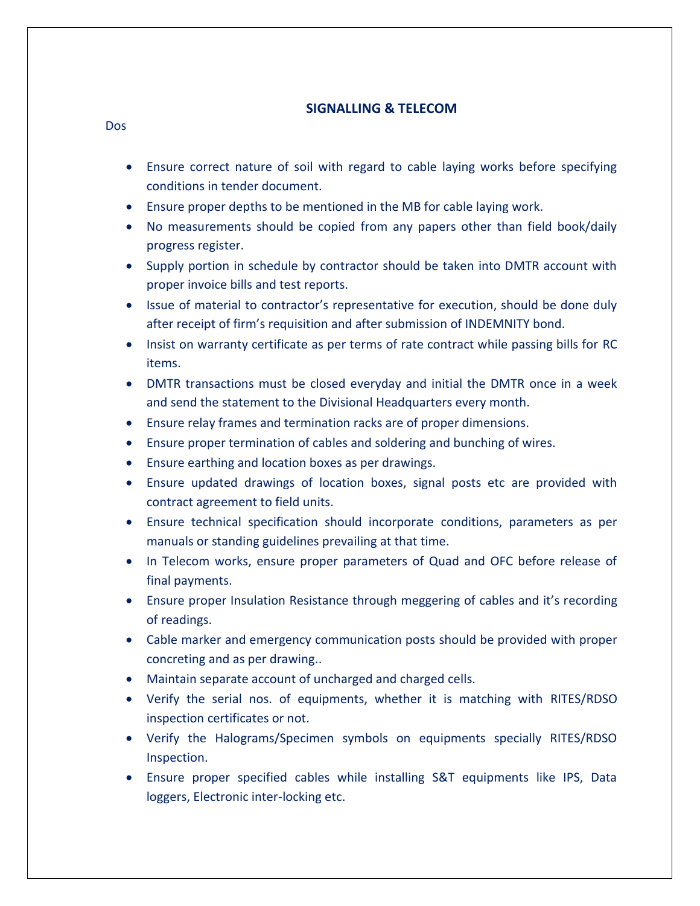# **SIGNALLING & TELECOM**

- Dos
	- Ensure correct nature of soil with regard to cable laying works before specifying conditions in tender document.
	- Ensure proper depths to be mentioned in the MB for cable laying work.
	- No measurements should be copied from any papers other than field book/daily progress register.
	- Supply portion in schedule by contractor should be taken into DMTR account with proper invoice bills and test reports.
	- Issue of material to contractor's representative for execution, should be done duly after receipt of firm's requisition and after submission of INDEMNITY bond.
	- Insist on warranty certificate as per terms of rate contract while passing bills for RC items.
	- DMTR transactions must be closed everyday and initial the DMTR once in a week and send the statement to the Divisional Headquarters every month.
	- Ensure relay frames and termination racks are of proper dimensions.
	- Ensure proper termination of cables and soldering and bunching of wires.
	- Ensure earthing and location boxes as per drawings.
	- Ensure updated drawings of location boxes, signal posts etc are provided with contract agreement to field units.
	- Ensure technical specification should incorporate conditions, parameters as per manuals or standing guidelines prevailing at that time.
	- In Telecom works, ensure proper parameters of Quad and OFC before release of final payments.
	- Ensure proper Insulation Resistance through meggering of cables and it's recording of readings.
	- Cable marker and emergency communication posts should be provided with proper concreting and as per drawing..
	- Maintain separate account of uncharged and charged cells.
	- Verify the serial nos. of equipments, whether it is matching with RITES/RDSO inspection certificates or not.
	- Verify the Halograms/Specimen symbols on equipments specially RITES/RDSO Inspection.
	- Ensure proper specified cables while installing S&T equipments like IPS, Data loggers, Electronic inter-locking etc.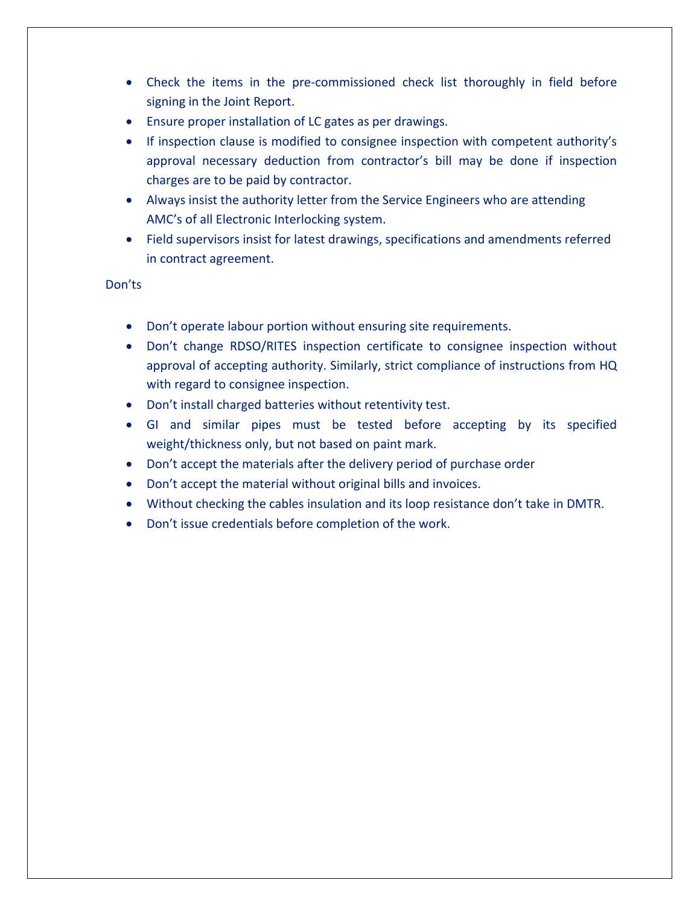- Check the items in the pre-commissioned check list thoroughly in field before signing in the Joint Report.
- Ensure proper installation of LC gates as per drawings.
- If inspection clause is modified to consignee inspection with competent authority's approval necessary deduction from contractor's bill may be done if inspection charges are to be paid by contractor.
- Always insist the authority letter from the Service Engineers who are attending AMC's of all Electronic Interlocking system.
- Field supervisors insist for latest drawings, specifications and amendments referred in contract agreement.

- Don't operate labour portion without ensuring site requirements.
- Don't change RDSO/RITES inspection certificate to consignee inspection without approval of accepting authority. Similarly, strict compliance of instructions from HQ with regard to consignee inspection.
- Don't install charged batteries without retentivity test.
- GI and similar pipes must be tested before accepting by its specified weight/thickness only, but not based on paint mark.
- Don't accept the materials after the delivery period of purchase order
- Don't accept the material without original bills and invoices.
- Without checking the cables insulation and its loop resistance don't take in DMTR.
- Don't issue credentials before completion of the work.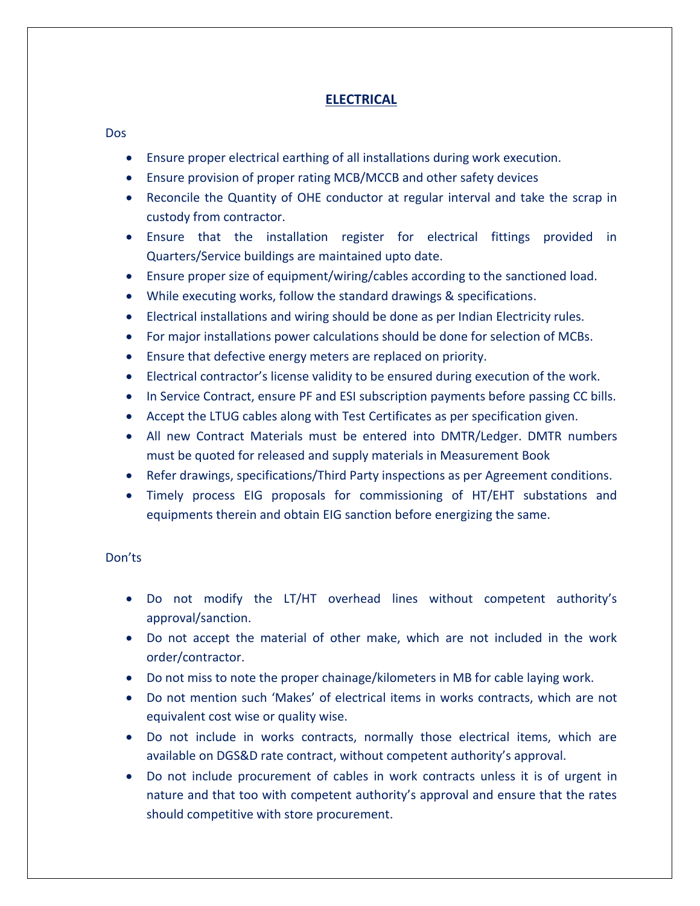# **ELECTRICAL**

#### Dos

- Ensure proper electrical earthing of all installations during work execution.
- Ensure provision of proper rating MCB/MCCB and other safety devices
- Reconcile the Quantity of OHE conductor at regular interval and take the scrap in custody from contractor.
- Ensure that the installation register for electrical fittings provided in Quarters/Service buildings are maintained upto date.
- Ensure proper size of equipment/wiring/cables according to the sanctioned load.
- While executing works, follow the standard drawings & specifications.
- Electrical installations and wiring should be done as per Indian Electricity rules.
- For major installations power calculations should be done for selection of MCBs.
- Ensure that defective energy meters are replaced on priority.
- Electrical contractor's license validity to be ensured during execution of the work.
- In Service Contract, ensure PF and ESI subscription payments before passing CC bills.
- Accept the LTUG cables along with Test Certificates as per specification given.
- All new Contract Materials must be entered into DMTR/Ledger. DMTR numbers must be quoted for released and supply materials in Measurement Book
- Refer drawings, specifications/Third Party inspections as per Agreement conditions.
- Timely process EIG proposals for commissioning of HT/EHT substations and equipments therein and obtain EIG sanction before energizing the same.

- Do not modify the LT/HT overhead lines without competent authority's approval/sanction.
- Do not accept the material of other make, which are not included in the work order/contractor.
- Do not miss to note the proper chainage/kilometers in MB for cable laying work.
- Do not mention such 'Makes' of electrical items in works contracts, which are not equivalent cost wise or quality wise.
- Do not include in works contracts, normally those electrical items, which are available on DGS&D rate contract, without competent authority's approval.
- Do not include procurement of cables in work contracts unless it is of urgent in nature and that too with competent authority's approval and ensure that the rates should competitive with store procurement.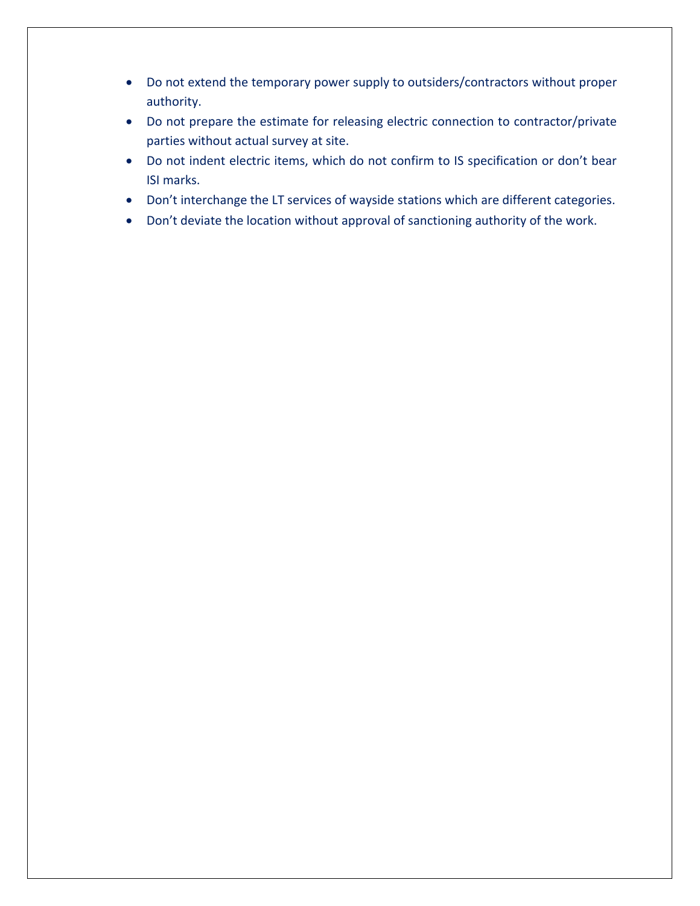- Do not extend the temporary power supply to outsiders/contractors without proper authority.
- Do not prepare the estimate for releasing electric connection to contractor/private parties without actual survey at site.
- Do not indent electric items, which do not confirm to IS specification or don't bear ISI marks.
- Don't interchange the LT services of wayside stations which are different categories.
- Don't deviate the location without approval of sanctioning authority of the work.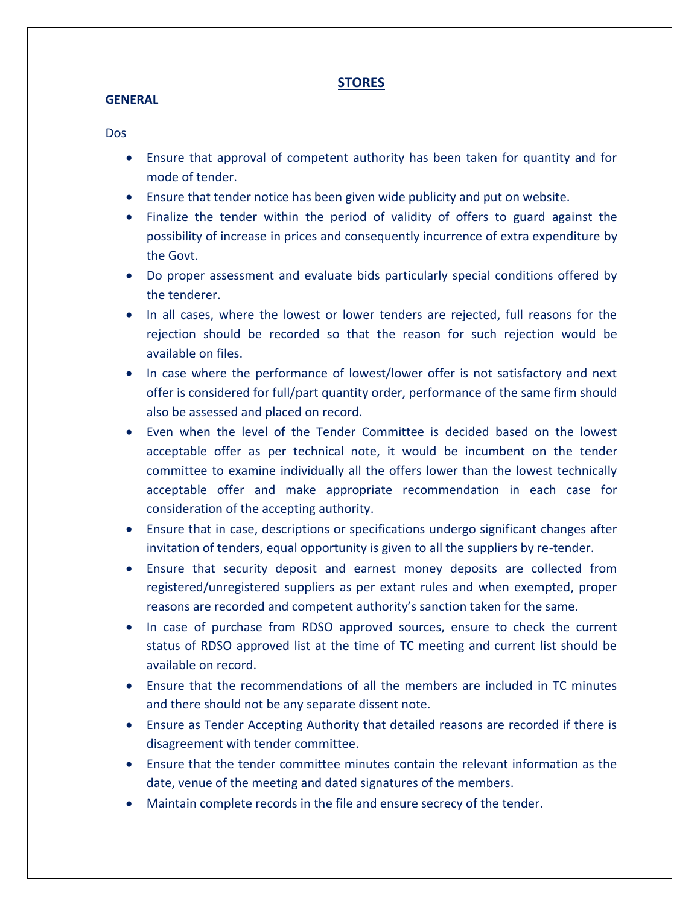## **STORES**

#### **GENERAL**

- Ensure that approval of competent authority has been taken for quantity and for mode of tender.
- Ensure that tender notice has been given wide publicity and put on website.
- Finalize the tender within the period of validity of offers to guard against the possibility of increase in prices and consequently incurrence of extra expenditure by the Govt.
- Do proper assessment and evaluate bids particularly special conditions offered by the tenderer.
- In all cases, where the lowest or lower tenders are rejected, full reasons for the rejection should be recorded so that the reason for such rejection would be available on files.
- In case where the performance of lowest/lower offer is not satisfactory and next offer is considered for full/part quantity order, performance of the same firm should also be assessed and placed on record.
- Even when the level of the Tender Committee is decided based on the lowest acceptable offer as per technical note, it would be incumbent on the tender committee to examine individually all the offers lower than the lowest technically acceptable offer and make appropriate recommendation in each case for consideration of the accepting authority.
- Ensure that in case, descriptions or specifications undergo significant changes after invitation of tenders, equal opportunity is given to all the suppliers by re-tender.
- Ensure that security deposit and earnest money deposits are collected from registered/unregistered suppliers as per extant rules and when exempted, proper reasons are recorded and competent authority's sanction taken for the same.
- In case of purchase from RDSO approved sources, ensure to check the current status of RDSO approved list at the time of TC meeting and current list should be available on record.
- Ensure that the recommendations of all the members are included in TC minutes and there should not be any separate dissent note.
- Ensure as Tender Accepting Authority that detailed reasons are recorded if there is disagreement with tender committee.
- Ensure that the tender committee minutes contain the relevant information as the date, venue of the meeting and dated signatures of the members.
- Maintain complete records in the file and ensure secrecy of the tender.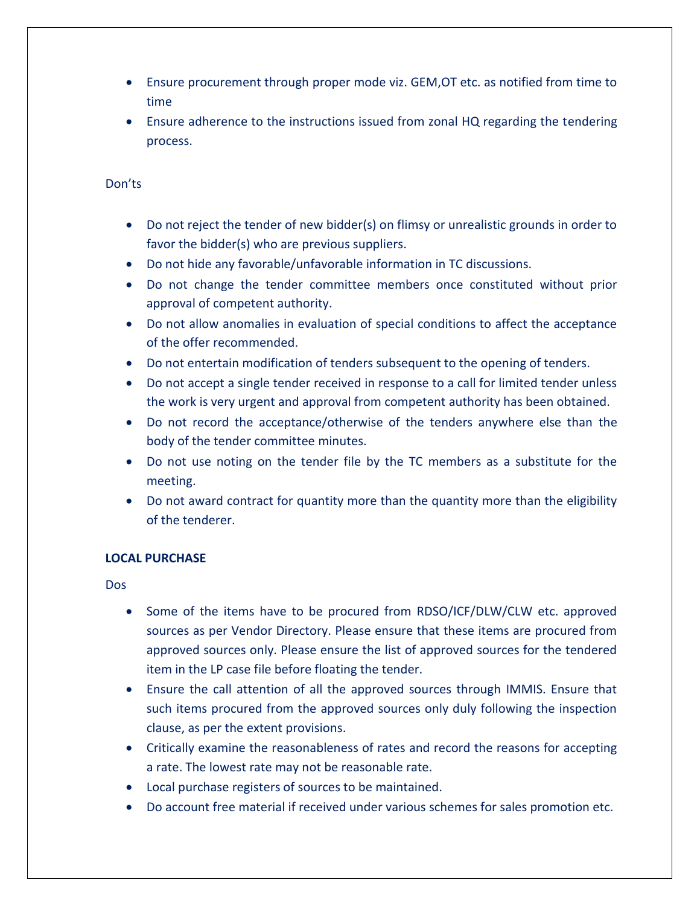- Ensure procurement through proper mode viz. GEM,OT etc. as notified from time to time
- Ensure adherence to the instructions issued from zonal HQ regarding the tendering process.

- Do not reject the tender of new bidder(s) on flimsy or unrealistic grounds in order to favor the bidder(s) who are previous suppliers.
- Do not hide any favorable/unfavorable information in TC discussions.
- Do not change the tender committee members once constituted without prior approval of competent authority.
- Do not allow anomalies in evaluation of special conditions to affect the acceptance of the offer recommended.
- Do not entertain modification of tenders subsequent to the opening of tenders.
- Do not accept a single tender received in response to a call for limited tender unless the work is very urgent and approval from competent authority has been obtained.
- Do not record the acceptance/otherwise of the tenders anywhere else than the body of the tender committee minutes.
- Do not use noting on the tender file by the TC members as a substitute for the meeting.
- Do not award contract for quantity more than the quantity more than the eligibility of the tenderer.

## **LOCAL PURCHASE**

- Some of the items have to be procured from RDSO/ICF/DLW/CLW etc. approved sources as per Vendor Directory. Please ensure that these items are procured from approved sources only. Please ensure the list of approved sources for the tendered item in the LP case file before floating the tender.
- Ensure the call attention of all the approved sources through IMMIS. Ensure that such items procured from the approved sources only duly following the inspection clause, as per the extent provisions.
- Critically examine the reasonableness of rates and record the reasons for accepting a rate. The lowest rate may not be reasonable rate.
- Local purchase registers of sources to be maintained.
- Do account free material if received under various schemes for sales promotion etc.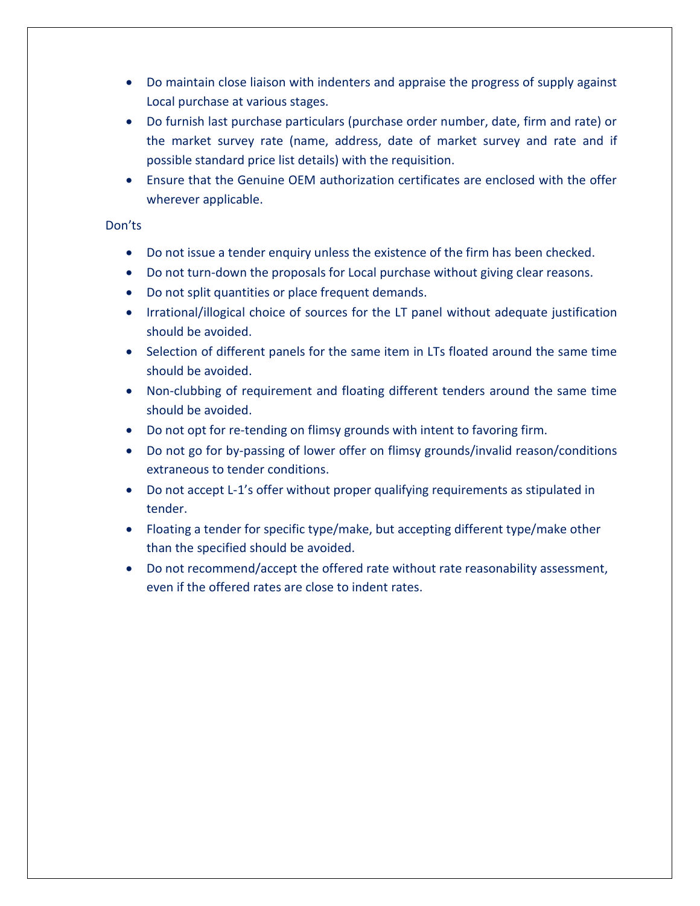- Do maintain close liaison with indenters and appraise the progress of supply against Local purchase at various stages.
- Do furnish last purchase particulars (purchase order number, date, firm and rate) or the market survey rate (name, address, date of market survey and rate and if possible standard price list details) with the requisition.
- Ensure that the Genuine OEM authorization certificates are enclosed with the offer wherever applicable.

- Do not issue a tender enquiry unless the existence of the firm has been checked.
- Do not turn-down the proposals for Local purchase without giving clear reasons.
- Do not split quantities or place frequent demands.
- Irrational/illogical choice of sources for the LT panel without adequate justification should be avoided.
- Selection of different panels for the same item in LTs floated around the same time should be avoided.
- Non-clubbing of requirement and floating different tenders around the same time should be avoided.
- Do not opt for re-tending on flimsy grounds with intent to favoring firm.
- Do not go for by-passing of lower offer on flimsy grounds/invalid reason/conditions extraneous to tender conditions.
- Do not accept L-1's offer without proper qualifying requirements as stipulated in tender.
- Floating a tender for specific type/make, but accepting different type/make other than the specified should be avoided.
- Do not recommend/accept the offered rate without rate reasonability assessment, even if the offered rates are close to indent rates.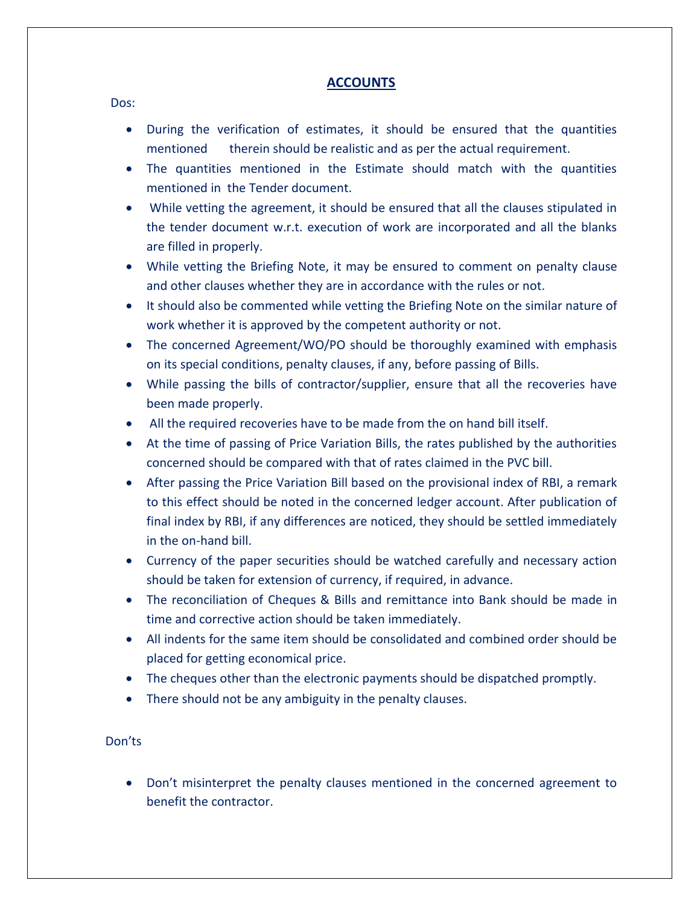## **ACCOUNTS**

Dos:

- During the verification of estimates, it should be ensured that the quantities mentioned therein should be realistic and as per the actual requirement.
- The quantities mentioned in the Estimate should match with the quantities mentioned in the Tender document.
- While vetting the agreement, it should be ensured that all the clauses stipulated in the tender document w.r.t. execution of work are incorporated and all the blanks are filled in properly.
- While vetting the Briefing Note, it may be ensured to comment on penalty clause and other clauses whether they are in accordance with the rules or not.
- It should also be commented while vetting the Briefing Note on the similar nature of work whether it is approved by the competent authority or not.
- The concerned Agreement/WO/PO should be thoroughly examined with emphasis on its special conditions, penalty clauses, if any, before passing of Bills.
- While passing the bills of contractor/supplier, ensure that all the recoveries have been made properly.
- All the required recoveries have to be made from the on hand bill itself.
- At the time of passing of Price Variation Bills, the rates published by the authorities concerned should be compared with that of rates claimed in the PVC bill.
- After passing the Price Variation Bill based on the provisional index of RBI, a remark to this effect should be noted in the concerned ledger account. After publication of final index by RBI, if any differences are noticed, they should be settled immediately in the on-hand bill.
- Currency of the paper securities should be watched carefully and necessary action should be taken for extension of currency, if required, in advance.
- The reconciliation of Cheques & Bills and remittance into Bank should be made in time and corrective action should be taken immediately.
- All indents for the same item should be consolidated and combined order should be placed for getting economical price.
- The cheques other than the electronic payments should be dispatched promptly.
- There should not be any ambiguity in the penalty clauses.

#### Don'ts

• Don't misinterpret the penalty clauses mentioned in the concerned agreement to benefit the contractor.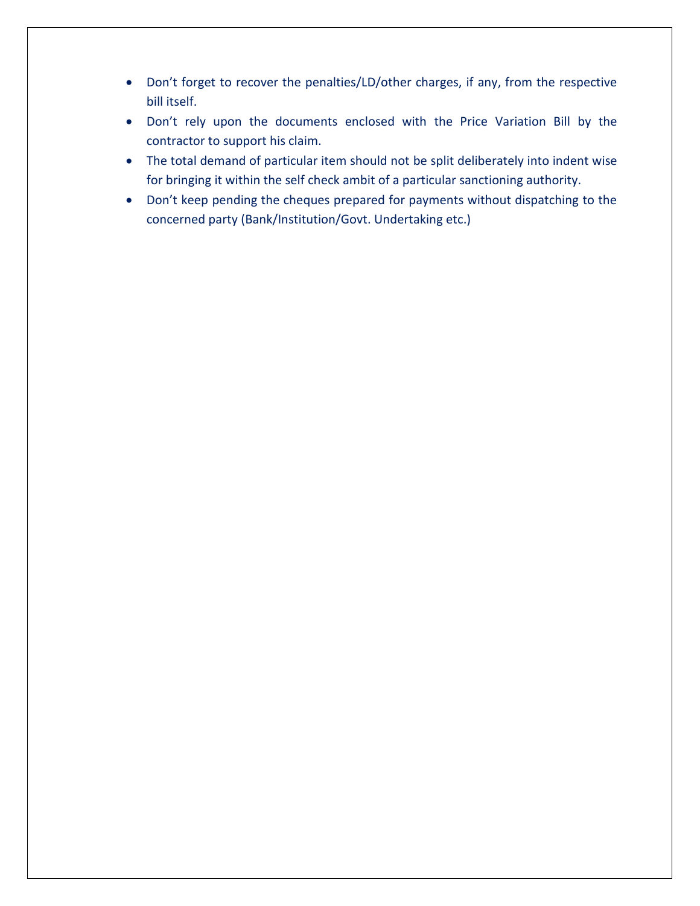- Don't forget to recover the penalties/LD/other charges, if any, from the respective bill itself.
- Don't rely upon the documents enclosed with the Price Variation Bill by the contractor to support his claim.
- The total demand of particular item should not be split deliberately into indent wise for bringing it within the self check ambit of a particular sanctioning authority.
- Don't keep pending the cheques prepared for payments without dispatching to the concerned party (Bank/Institution/Govt. Undertaking etc.)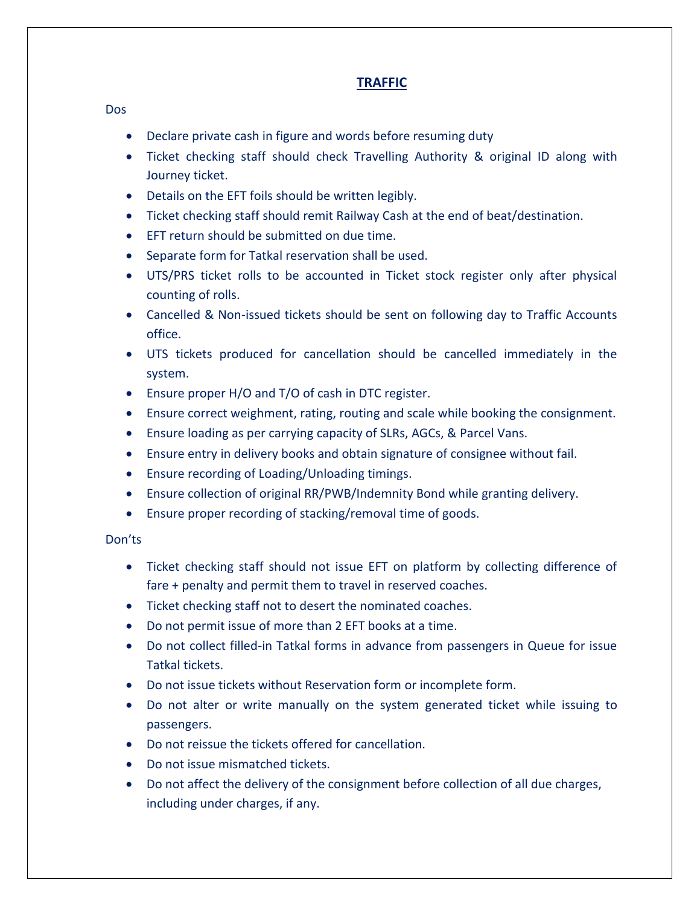# **TRAFFIC**

#### Dos

- Declare private cash in figure and words before resuming duty
- Ticket checking staff should check Travelling Authority & original ID along with Journey ticket.
- Details on the EFT foils should be written legibly.
- Ticket checking staff should remit Railway Cash at the end of beat/destination.
- EFT return should be submitted on due time.
- Separate form for Tatkal reservation shall be used.
- UTS/PRS ticket rolls to be accounted in Ticket stock register only after physical counting of rolls.
- Cancelled & Non-issued tickets should be sent on following day to Traffic Accounts office.
- UTS tickets produced for cancellation should be cancelled immediately in the system.
- Ensure proper H/O and T/O of cash in DTC register.
- Ensure correct weighment, rating, routing and scale while booking the consignment.
- Ensure loading as per carrying capacity of SLRs, AGCs, & Parcel Vans.
- Ensure entry in delivery books and obtain signature of consignee without fail.
- Ensure recording of Loading/Unloading timings.
- Ensure collection of original RR/PWB/Indemnity Bond while granting delivery.
- Ensure proper recording of stacking/removal time of goods.

- Ticket checking staff should not issue EFT on platform by collecting difference of fare + penalty and permit them to travel in reserved coaches.
- Ticket checking staff not to desert the nominated coaches.
- Do not permit issue of more than 2 EFT books at a time.
- Do not collect filled-in Tatkal forms in advance from passengers in Queue for issue Tatkal tickets.
- Do not issue tickets without Reservation form or incomplete form.
- Do not alter or write manually on the system generated ticket while issuing to passengers.
- Do not reissue the tickets offered for cancellation.
- Do not issue mismatched tickets.
- Do not affect the delivery of the consignment before collection of all due charges, including under charges, if any.